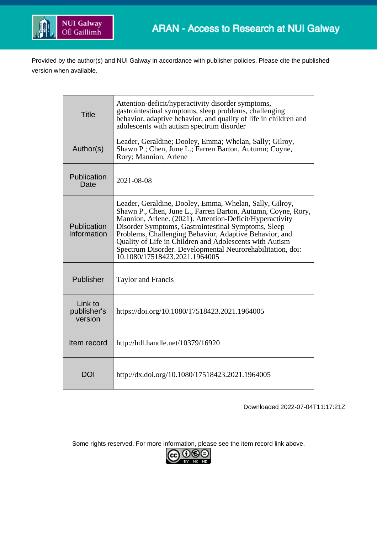

Provided by the author(s) and NUI Galway in accordance with publisher policies. Please cite the published version when available.

| <b>Title</b>                      | Attention-deficit/hyperactivity disorder symptoms,<br>gastrointestinal symptoms, sleep problems, challenging<br>behavior, adaptive behavior, and quality of life in children and<br>adolescents with autism spectrum disorder                                                                                                                                                                                                                                  |
|-----------------------------------|----------------------------------------------------------------------------------------------------------------------------------------------------------------------------------------------------------------------------------------------------------------------------------------------------------------------------------------------------------------------------------------------------------------------------------------------------------------|
| Author(s)                         | Leader, Geraldine; Dooley, Emma; Whelan, Sally; Gilroy,<br>Shawn P.; Chen, June L.; Farren Barton, Autumn; Coyne,<br>Rory; Mannion, Arlene                                                                                                                                                                                                                                                                                                                     |
| Publication<br>Date               | 2021-08-08                                                                                                                                                                                                                                                                                                                                                                                                                                                     |
| Publication<br>Information        | Leader, Geraldine, Dooley, Emma, Whelan, Sally, Gilroy,<br>Shawn P., Chen, June L., Farren Barton, Autumn, Coyne, Rory,<br>Mannion, Arlene. (2021). Attention-Deficit/Hyperactivity<br>Disorder Symptoms, Gastrointestinal Symptoms, Sleep<br>Problems, Challenging Behavior, Adaptive Behavior, and<br>Quality of Life in Children and Adolescents with Autism<br>Spectrum Disorder. Developmental Neurorehabilitation, doi:<br>10.1080/17518423.2021.1964005 |
| Publisher                         | <b>Taylor and Francis</b>                                                                                                                                                                                                                                                                                                                                                                                                                                      |
| Link to<br>publisher's<br>version | https://doi.org/10.1080/17518423.2021.1964005                                                                                                                                                                                                                                                                                                                                                                                                                  |
| Item record                       | http://hdl.handle.net/10379/16920                                                                                                                                                                                                                                                                                                                                                                                                                              |
| DOI                               | http://dx.doi.org/10.1080/17518423.2021.1964005                                                                                                                                                                                                                                                                                                                                                                                                                |

Downloaded 2022-07-04T11:17:21Z

Some rights reserved. For more information, please see the item record link above.

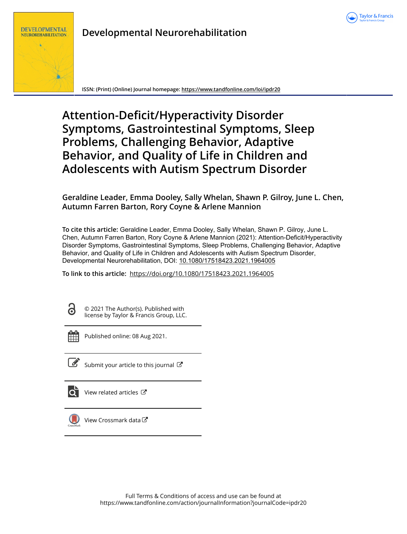



# **Developmental Neurorehabilitation**

**ISSN: (Print) (Online) Journal homepage:<https://www.tandfonline.com/loi/ipdr20>**

# **Attention-Deficit/Hyperactivity Disorder Symptoms, Gastrointestinal Symptoms, Sleep Problems, Challenging Behavior, Adaptive Behavior, and Quality of Life in Children and Adolescents with Autism Spectrum Disorder**

**Geraldine Leader, Emma Dooley, Sally Whelan, Shawn P. Gilroy, June L. Chen, Autumn Farren Barton, Rory Coyne & Arlene Mannion**

**To cite this article:** Geraldine Leader, Emma Dooley, Sally Whelan, Shawn P. Gilroy, June L. Chen, Autumn Farren Barton, Rory Coyne & Arlene Mannion (2021): Attention-Deficit/Hyperactivity Disorder Symptoms, Gastrointestinal Symptoms, Sleep Problems, Challenging Behavior, Adaptive Behavior, and Quality of Life in Children and Adolescents with Autism Spectrum Disorder, Developmental Neurorehabilitation, DOI: [10.1080/17518423.2021.1964005](https://www.tandfonline.com/action/showCitFormats?doi=10.1080/17518423.2021.1964005)

**To link to this article:** <https://doi.org/10.1080/17518423.2021.1964005>

 $\overline{\mathbf{d}}$ 

© 2021 The Author(s). Published with license by Taylor & Francis Group, LLC.



Published online: 08 Aug 2021.



 $\overline{\mathscr{L}}$  [Submit your article to this journal](https://www.tandfonline.com/action/authorSubmission?journalCode=ipdr20&show=instructions)  $\mathbb{Z}$ 



 $\overline{\mathbf{Q}}$  [View related articles](https://www.tandfonline.com/doi/mlt/10.1080/17518423.2021.1964005)  $\mathbf{C}$ 



[View Crossmark data](http://crossmark.crossref.org/dialog/?doi=10.1080/17518423.2021.1964005&domain=pdf&date_stamp=2021-08-08)  $G$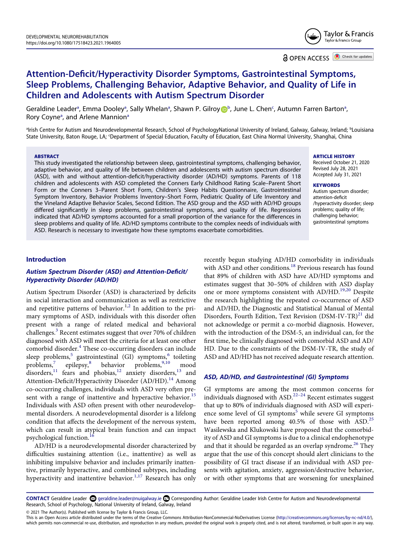

# **Attention-Deficit/Hyperactivity Disorder Symptoms, Gastrointestinal Symptoms, Sleep Problems, Challenging Behavior, Adaptive Behavior, and Quality of Life in Children and Adolescents with Autism Spectrum Disorder**

Ge[ra](#page-2-0)ldine Le[a](#page-2-0)der<sup>a</sup>, Emma Dooley<sup>a</sup>, Sally Whelan<sup>a</sup>, Shawn P. Gilroy D[b](#page-2-0), June L. Chen<sup>[c](#page-2-1)</sup>, Autumn Farren Barton<sup>a</sup>, Rory Coyne<sup>[a](#page-2-0)</sup>, and Arlene Mannion<sup>a</sup>

<span id="page-2-1"></span><span id="page-2-0"></span>a Irish Centre for Autism and Neurodevelopmental Research, School of PsychologyNational University of Ireland, Galway, Galway, Ireland; b Louisiana State University, Baton Rouge, LA; <sup>c</sup>Department of Special Education, Faculty of Education, East China Normal University, Shanghai, China

#### **ABSTRACT**

This study investigated the relationship between sleep, gastrointestinal symptoms, challenging behavior, adaptive behavior, and quality of life between children and adolescents with autism spectrum disorder (ASD), with and without attention-deficit/hyperactivity disorder (AD/HD) symptoms. Parents of 118 children and adolescents with ASD completed the Conners Early Childhood Rating Scale–Parent Short Form or the Conners 3–Parent Short Form, Children's Sleep Habits Questionnaire, Gastrointestinal Symptom Inventory, Behavior Problems Inventory–Short Form, Pediatric Quality of Life Inventory and the Vineland Adaptive Behavior Scales, Second Edition. The ASD group and the ASD with AD/HD groups differed significantly in sleep problems, gastrointestinal symptoms, and quality of life. Regressions indicated that AD/HD symptoms accounted for a small proportion of the variance for the differences in sleep problems and quality of life. AD/HD symptoms contribute to the complex needs of individuals with ASD. Research is necessary to investigate how these symptoms exacerbate comorbidities.

**ARTICLE HISTORY** 

Received October 21, 2020 Revised July 28, 2021 Accepted July 31, 2021

#### **KEYWORDS**

Autism spectrum disorder; attention-deficit /hyperactivity disorder; sleep problems; quality of life; challenging behavior; gastrointestinal symptoms

# **Introduction**

# *Autism Spectrum Disorder (ASD) and Attention-Deficit/ Hyperactivity Disorder (AD/HD)*

<span id="page-2-8"></span><span id="page-2-7"></span><span id="page-2-5"></span><span id="page-2-4"></span><span id="page-2-3"></span>Autism Spectrum Disorder (ASD) is characterized by deficits in social interaction and communication as well as restrictive and repetitive patterns of behavior.<sup>1,2</sup> In addition to the primary symptoms of ASD, individuals with this disorder often present with a range of related medical and behavioral challenges. $3$  Recent estimates suggest that over 70% of children diagnosed with ASD will meet the criteria for at least one other comorbid disorder.<sup>4</sup> These co-occurring disorders can include sleep problems,<sup>[5](#page-11-2)</sup> gastrointestinal (GI) symptoms,<sup>6</sup> toileting<br>problems,<sup>7</sup> epilepsy,<sup>8</sup> behavior problems,<sup>9,10</sup> mood epilepsy, $8$  behavior problems, $9,10$  mood disorders,  $1$  fears and phobias,  $12$  anxiety disorders,  $13$  and Attention-Deficit/Hyperactivity Disorder (AD/HD).<sup>14</sup> Among co-occurring challenges, individuals with ASD very often pre-sent with a range of inattentive and hyperactive behavior.<sup>[15](#page-11-12)</sup> Individuals with ASD often present with other neurodevelopmental disorders. A neurodevelopmental disorder is a lifelong condition that affects the development of the nervous system, which can result in atypical brain function and can impact psychological function.<sup>[16](#page-11-13)</sup>

<span id="page-2-12"></span><span id="page-2-11"></span><span id="page-2-10"></span><span id="page-2-9"></span>AD/HD is a neurodevelopmental disorder characterized by difficulties sustaining attention (i.e., inattentive) as well as inhibiting impulsive behavior and includes primarily inattentive, primarily hyperactive, and combined subtypes, including hyperactivity and inattentive behavior.<sup>1,17</sup> Research has only <span id="page-2-15"></span><span id="page-2-14"></span><span id="page-2-13"></span>recently begun studying AD/HD comorbidity in individuals with ASD and other conditions.<sup>18</sup> Previous research has found that 89% of children with ASD have AD/HD symptoms and estimates suggest that 30–50% of children with ASD display one or more symptoms consistent with AD/HD.<sup>[19,](#page-11-16)20</sup> Despite the research highlighting the repeated co-occurrence of ASD and AD/HD, the Diagnostic and Statistical Manual of Mental Disorders, Fourth Edition, Text Revision (DSM-IV-TR)<sup>21</sup> did not acknowledge or permit a co-morbid diagnosis. However, with the introduction of the DSM-5, an individual can, for the first time, be clinically diagnosed with comorbid ASD and AD/ HD. Due to the constraints of the DSM-IV-TR, the study of ASD and AD/HD has not received adequate research attention.

#### *ASD, AD/HD, and Gastrointestinal (GI) Symptoms*

<span id="page-2-18"></span><span id="page-2-17"></span><span id="page-2-16"></span><span id="page-2-6"></span>GI symptoms are among the most common concerns for individuals diagnosed with  $ASD$ .<sup>22-24</sup> Recent estimates suggest that up to 80% of individuals diagnosed with ASD will experi-ence some level of GI symptoms<sup>[5](#page-11-2)</sup> while severe GI symptoms have been reported among  $40.5\%$  of those with ASD.<sup>[25](#page-11-20)</sup> Wasilewska and Klukowski have proposed that the comorbidity of ASD and GI symptoms is due to a clinical endophenotype and that it should be regarded as an overlap syndrome.<sup>[26](#page-11-21)</sup> They argue that the use of this concept should alert clinicians to the possibility of GI tract disease if an individual with ASD presents with agitation, anxiety, aggression/destructive behavior, or with other symptoms that are worsening for unexplained

<span id="page-2-2"></span>CONTACT Geraldine Leader <sup>5</sup> geraldine.leader@nuigalway.ie **■** Corresponding Author: Geraldine Leader Irish Centre for Autism and Neurodevelopmental Research, School of Psychology, National University of Ireland, Galway, Ireland

© 2021 The Author(s). Published with license by Taylor & Francis Group, LLC.

This is an Open Access article distributed under the terms of the Creative Commons Attribution-NonCommercial-NoDerivatives License (http://creativecommons.org/licenses/by-nc-nd/4.0/), which permits non-commercial re-use, distribution, and reproduction in any medium, provided the original work is properly cited, and is not altered, transformed, or built upon in any way.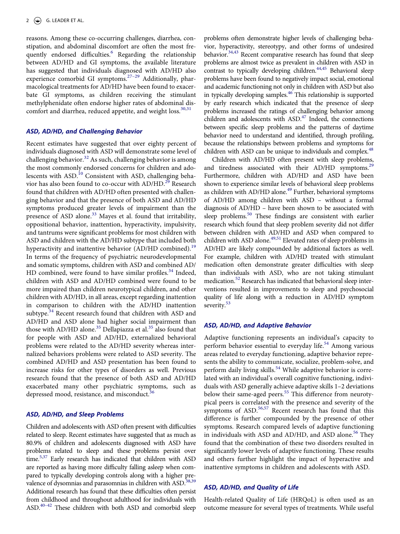<span id="page-3-0"></span>reasons. Among these co-occurring challenges, diarrhea, constipation, and abdominal discomfort are often the most frequently endorsed difficulties.<sup>6</sup> Regarding the relationship between AD/HD and GI symptoms, the available literature has suggested that individuals diagnosed with AD/HD also experience comorbid GI symptoms.<sup>27-29</sup> Additionally, pharmacological treatments for AD/HD have been found to exacerbate GI symptoms, as children receiving the stimulant methylphenidate often endorse higher rates of abdominal dis-comfort and diarrhea, reduced appetite, and weight loss.<sup>30[,31](#page-11-24)</sup>

# <span id="page-3-2"></span>*ASD, AD/HD, and Challenging Behavior*

<span id="page-3-4"></span><span id="page-3-3"></span>Recent estimates have suggested that over eighty percent of individuals diagnosed with ASD will demonstrate some level of challenging behavior.<sup>32</sup> As such, challenging behavior is among the most commonly endorsed concerns for children and adolescents with  $ASD<sup>10</sup>$  Consistent with ASD, challenging behavior has also been found to co-occur with  $AD/HD$ <sup>[29](#page-11-26)</sup> Research found that children with AD/HD often presented with challenging behavior and that the presence of both ASD and AD/HD symptoms produced greater levels of impairment than the presence of ASD alone.<sup>33</sup> Mayes et al. found that irritability, oppositional behavior, inattention, hyperactivity, impulsivity, and tantrums were significant problems for most children with ASD and children with the AD/HD subtype that included both hyperactivity and inattentive behavior (AD/HD combined).<sup>[19](#page-11-16)</sup> In terms of the frequency of psychiatric neurodevelopmental and somatic symptoms, children with ASD and combined AD/ HD combined, were found to have similar profiles. $34$  Indeed, children with ASD and AD/HD combined were found to be more impaired than children neurotypical children, and other children with AD/HD, in all areas, except regarding inattention in comparison to children with the AD/HD inattention subtype. $34$  Recent research found that children with ASD and AD/HD and ASD alone had higher social impairment than those with AD/HD alone.<sup>35</sup> Dellapiazza et al.<sup>35</sup> also found that for people with ASD and AD/HD, externalized behavioral problems were related to the AD/HD severity whereas internalized behaviors problems were related to ASD severity. The combined AD/HD and ASD presentation has been found to increase risks for other types of disorders as well. Previous research found that the presence of both ASD and AD/HD exacerbated many other psychiatric symptoms, such as depressed mood, resistance, and misconduct.<sup>[36](#page-12-1)</sup>

# <span id="page-3-6"></span><span id="page-3-5"></span>*ASD, AD/HD, and Sleep Problems*

<span id="page-3-9"></span><span id="page-3-8"></span><span id="page-3-7"></span>Children and adolescents with ASD often present with difficulties related to sleep. Recent estimates have suggested that as much as 80.9% of children and adolescents diagnosed with ASD have problems related to sleep and these problems persist over time.<sup>[5](#page-11-2)[,37](#page-12-2)</sup> Early research has indicated that children with ASD are reported as having more difficulty falling asleep when compared to typically developing controls along with a higher pre-valence of dysomnias and parasomnias in children with ASD.<sup>[38](#page-12-3),39</sup> Additional research has found that these difficulties often persist from childhood and throughout adulthood for individuals with ASD.<sup>40-42</sup> These children with both ASD and comorbid sleep

<span id="page-3-12"></span><span id="page-3-11"></span><span id="page-3-10"></span>problems often demonstrate higher levels of challenging behavior, hyperactivity, stereotypy, and other forms of undesired behavior.<sup>34[,43](#page-12-6)</sup> Recent comparative research has found that sleep problems are almost twice as prevalent in children with ASD in contrast to typically developing children.<sup>44[,45](#page-12-8)</sup> Behavioral sleep problems have been found to negatively impact social, emotional and academic functioning not only in children with ASD but also in typically developing samples.<sup>46</sup> This relationship is supported by early research which indicated that the presence of sleep problems increased the ratings of challenging behavior among children and adolescents with ASD.<sup>47</sup> Indeed, the connections between specific sleep problems and the patterns of daytime behavior need to understand and identified, through profiling, because the relationships between problems and symptoms for children with ASD can be unique to individuals and complex.<sup>48</sup>

<span id="page-3-16"></span><span id="page-3-15"></span><span id="page-3-14"></span><span id="page-3-13"></span><span id="page-3-1"></span>Children with AD/HD often present with sleep problems, and tiredness associated with their AD/HD symptoms.<sup>29</sup> Furthermore, children with AD/HD and ASD have been shown to experience similar levels of behavioral sleep problems as children with AD/HD alone.<sup>49</sup> Further, behavioral symptoms of AD/HD among children with ASD – without a formal diagnosis of AD/HD – have been shown to be associated with sleep problems.<sup>50</sup> These findings are consistent with earlier research which found that sleep problem severity did not differ between children with AD/HD and ASD when compared to children with ASD alone.<sup>49,51</sup> Elevated rates of sleep problems in AD/HD are likely compounded by additional factors as well. For example, children with AD/HD treated with stimulant medication often demonstrate greater difficulties with sleep than individuals with ASD, who are not taking stimulant medication.<sup>[52](#page-12-15)</sup> Research has indicated that behavioral sleep interventions resulted in improvements to sleep and psychosocial quality of life along with a reduction in AD/HD symptom severity.<sup>53</sup>

# <span id="page-3-18"></span><span id="page-3-17"></span>*ASD, AD/HD, and Adaptive Behavior*

<span id="page-3-22"></span><span id="page-3-20"></span><span id="page-3-19"></span>Adaptive functioning represents an individual's capacity to perform behavior essential to everyday life.<sup>[54](#page-12-17)</sup> Among various areas related to everyday functioning, adaptive behavior represents the ability to communicate, socialize, problem-solve, and perform daily living skills.<sup>[54](#page-12-17)</sup> While adaptive behavior is correlated with an individual's overall cognitive functioning, individuals with ASD generally achieve adaptive skills 1–2 deviations below their same-aged peers.<sup>[55](#page-12-18)</sup> This difference from neurotypical peers is correlated with the presence and severity of the symptoms of  $ASD$ <sup>[56](#page-12-19),[57](#page-12-20)</sup> Recent research has found that this difference is further compounded by the presence of other symptoms. Research compared levels of adaptive functioning in individuals with ASD and AD/HD, and ASD alone.<sup>56</sup> They found that the combination of these two disorders resulted in significantly lower levels of adaptive functioning. These results and others further highlight the impact of hyperactive and inattentive symptoms in children and adolescents with ASD.

#### <span id="page-3-21"></span>*ASD, AD/HD, and Quality of Life*

Health-related Quality of Life (HRQoL) is often used as an outcome measure for several types of treatments. While useful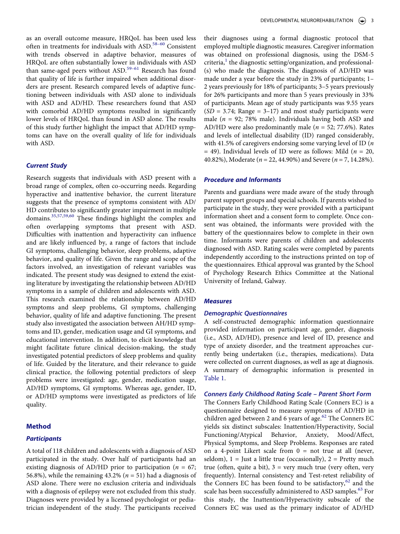<span id="page-4-0"></span>as an overall outcome measure, HRQoL has been used less often in treatments for individuals with ASD.<sup>58-60</sup> Consistent with trends observed in adaptive behavior, measures of HRQoL are often substantially lower in individuals with ASD than same-aged peers without ASD.<sup>59–61</sup> Research has found that quality of life is further impaired when additional disorders are present. Research compared levels of adaptive functioning between individuals with ASD alone to individuals with ASD and AD/HD. These researchers found that ASD with comorbid AD/HD symptoms resulted in significantly lower levels of HRQoL than found in ASD alone. The results of this study further highlight the impact that AD/HD symptoms can have on the overall quality of life for individuals with ASD.

# *Current Study*

<span id="page-4-1"></span>Research suggests that individuals with ASD present with a broad range of complex, often co-occurring needs. Regarding hyperactive and inattentive behavior, the current literature suggests that the presence of symptoms consistent with AD/ HD contributes to significantly greater impairment in multiple domains.[35](#page-12-0),[57](#page-12-20),[59](#page-12-22),[60](#page-12-23) These findings highlight the complex and often overlapping symptoms that present with ASD. Difficulties with inattention and hyperactivity can influence and are likely influenced by, a range of factors that include GI symptoms, challenging behavior, sleep problems, adaptive behavior, and quality of life. Given the range and scope of the factors involved, an investigation of relevant variables was indicated. The present study was designed to extend the existing literature by investigating the relationship between AD/HD symptoms in a sample of children and adolescents with ASD. This research examined the relationship between AD/HD symptoms and sleep problems, GI symptoms, challenging behavior, quality of life and adaptive functioning. The present study also investigated the association between AH/HD symptoms and ID, gender, medication usage and GI symptoms, and educational intervention. In addition, to elicit knowledge that might facilitate future clinical decision-making, the study investigated potential predictors of sleep problems and quality of life. Guided by the literature, and their relevance to guide clinical practice, the following potential predictors of sleep problems were investigated: age, gender, medication usage, AD/HD symptoms, GI symptoms. Whereas age, gender, ID, or AD/HD symptoms were investigated as predictors of life quality.

### **Method**

#### *Participants*

A total of 118 children and adolescents with a diagnosis of ASD participated in the study. Over half of participants had an existing diagnosis of AD/HD prior to participation (*n* = 67; 56.8%), while the remaining  $43.2\%$  ( $n = 51$ ) had a diagnosis of ASD alone. There were no exclusion criteria and individuals with a diagnosis of epilepsy were not excluded from this study. Diagnoses were provided by a licensed psychologist or pediatrician independent of the study. The participants received

their diagnoses using a formal diagnostic protocol that employed multiple diagnostic measures. Caregiver information was obtained on professional diagnosis, using the DSM-5 criteria, $<sup>1</sup>$  the diagnostic setting/organization, and professional-</sup> (s) who made the diagnosis. The diagnosis of AD/HD was made under a year before the study in 23% of participants; 1– 2 years previously for 18% of participants; 3–5 years previously for 26% participants and more than 5 years previously in 33% of participants. Mean age of study participants was 9.55 years  $(SD = 3.74;$  Range = 3–17) and most study participants were male (*n* = 92; 78% male). Individuals having both ASD and AD/HD were also predominantly male (*n* = 52; 77.6%). Rates and levels of intellectual disability (ID) ranged considerably, with 41.5% of caregivers endorsing some varying level of ID (*n*  = 49). Individual levels of ID were as follows: Mild (*n* = 20, 40.82%), Moderate (*n* = 22, 44.90%) and Severe (*n* = 7, 14.28%).

#### *Procedure and Informants*

Parents and guardians were made aware of the study through parent support groups and special schools. If parents wished to participate in the study, they were provided with a participant information sheet and a consent form to complete. Once consent was obtained, the informants were provided with the battery of the questionnaires below to complete in their own time. Informants were parents of children and adolescents diagnosed with ASD. Rating scales were completed by parents independently according to the instructions printed on top of the questionnaires. Ethical approval was granted by the School of Psychology Research Ethics Committee at the National University of Ireland, Galway.

#### *Measures*

#### *Demographic Questionnaires*

A self-constructed demographic information questionnaire provided information on participant age, gender, diagnosis (i.e., ASD, AD/HD), presence and level of ID, presence and type of anxiety disorder, and the treatment approaches currently being undertaken (i.e., therapies, medications). Data were collected on current diagnoses, as well as age at diagnosis. A summary of demographic information is presented in [Table 1](#page-5-0).

#### *Conners Early Childhood Rating Scale – Parent Short Form*

<span id="page-4-3"></span><span id="page-4-2"></span>The Conners Early Childhood Rating Scale (Conners EC) is a questionnaire designed to measure symptoms of AD/HD in children aged between 2 and 6 years of age.<sup>62</sup> The Conners EC yields six distinct subscales: Inattention/Hyperactivity, Social Functioning/Atypical Behavior, Anxiety, Mood/Affect, Physical Symptoms, and Sleep Problems. Responses are rated on a 4-point Likert scale from  $0 =$  not true at all (never, seldom),  $1 =$  Just a little true (occasionally),  $2 =$  Pretty much true (often, quite a bit),  $3 = \text{very much true (very often, very}$ frequently). Internal consistency and Test-retest reliability of the Conners EC has been found to be satisfactory, $62$  and the scale has been successfully administered to ASD samples.<sup>63</sup> For this study, the Inattention/Hyperactivity subscale of the Conners EC was used as the primary indicator of AD/HD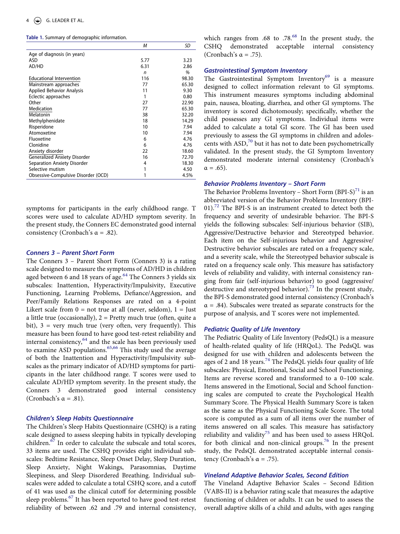<span id="page-5-0"></span>**Table 1.** Summary of demographic information.

|                                     | M            | SD    |
|-------------------------------------|--------------|-------|
| Age of diagnosis (in years)         |              |       |
| ASD                                 | 5.77         | 3.23  |
| AD/HD                               | 6.31         | 2.86  |
|                                     | $\mathsf{n}$ | %     |
| <b>Educational Intervention</b>     | 116          | 98.30 |
| Mainstream approaches               | 77           | 65.30 |
| <b>Applied Behavior Analysis</b>    | 11           | 9.30  |
| Eclectic approaches                 | 1            | 0.80  |
| Other                               | 27           | 22.90 |
| Medication                          | 77           | 65.30 |
| Melatonin                           | 38           | 32.20 |
| Methylphenidate                     | 18           | 14.29 |
| Risperidone                         | 10           | 7.94  |
| Atomoxetine                         | 10           | 7.94  |
| Fluoxetine                          | 6            | 4.76  |
| Clonidine                           | 6            | 4.76  |
| Anxiety disorder                    | 22           | 18.60 |
| <b>Generalized Anxiety Disorder</b> | 16           | 72.70 |
| Separation Anxiety Disorder         | 4            | 18.30 |
| Selective mutism                    | 1            | 4.50  |
| Obsessive-Compulsive Disorder (OCD) | 1            | 4.5%  |

symptoms for participants in the early childhood range. T scores were used to calculate AD/HD symptom severity. In the present study, the Conners EC demonstrated good internal consistency (Cronbach's  $\alpha$  = .82).

#### *Conners 3 – Parent Short Form*

<span id="page-5-1"></span>The Conners 3 – Parent Short Form (Conners 3) is a rating scale designed to measure the symptoms of AD/HD in children aged between 6 and 18 years of age.<sup>64</sup> The Conners 3 yields six subscales: Inattention, Hyperactivity/Impulsivity, Executive Functioning, Learning Problems, Defiance/Aggression, and Peer/Family Relations Responses are rated on a 4-point Likert scale from  $0 = not$  true at all (never, seldom),  $1 =$  Just a little true (occasionally),  $2 =$  Pretty much true (often, quite a bit),  $3 = \text{very much true (very often, very frequently)}$ . This measure has been found to have good test-retest reliability and internal consistency,<sup>64</sup> and the scale has been previously used to examine ASD populations.<sup>[65](#page-12-27),[66](#page-12-28)</sup> This study used the average of both the Inattention and Hyperactivity/Impulsivity subscales as the primary indicator of AD/HD symptoms for participants in the later childhood range. T scores were used to calculate AD/HD symptom severity. In the present study, the Conners 3 demonstrated good internal consistency (Cronbach's  $\alpha = .81$ ).

# <span id="page-5-2"></span>*Children's Sleep Habits Questionnaire*

<span id="page-5-3"></span>The Children's Sleep Habits Questionnaire (CSHQ) is a rating scale designed to assess sleeping habits in typically developing children. $67$  In order to calculate the subscale and total scores, 33 items are used. The CSHQ provides eight individual subscales: Bedtime Resistance, Sleep Onset Delay, Sleep Duration, Sleep Anxiety, Night Wakings, Parasomnias, Daytime Sleepiness, and Sleep Disordered Breathing. Individual subscales were added to calculate a total CSHQ score, and a cutoff of 41 was used as the clinical cutoff for determining possible sleep problems.<sup>67</sup> It has been reported to have good test-retest reliability of between .62 and .79 and internal consistency, which ranges from .[68](#page-13-0) to .78. $^{68}$  In the present study, the CSHQ demonstrated acceptable internal consistency (Cronbach's  $\alpha = .75$ ).

# *Gastrointestinal Symptom Inventory*

<span id="page-5-4"></span>The Gastrointestinal Symptom Inventory $69$  is a measure designed to collect information relevant to GI symptoms. This instrument measures symptoms including abdominal pain, nausea, bloating, diarrhea, and other GI symptoms. The inventory is scored dichotomously; specifically, whether the child possesses any GI symptoms. Individual items were added to calculate a total GI score. The GI has been used previously to assess the GI symptoms in children and adolescents with  $ASD<sub>1</sub><sup>70</sup>$  but it has not to date been psychometrically validated. In the present study, the GI Symptom Inventory demonstrated moderate internal consistency (Cronbach's  $\alpha = .65$ ).

#### <span id="page-5-5"></span>*Behavior Problems Inventory – Short Form*

<span id="page-5-7"></span><span id="page-5-6"></span>The Behavior Problems Inventory – Short Form  $(BPI-S)^{71}$  is an abbreviated version of the Behavior Problems Inventory (BPI- $01$ .<sup>72</sup> The BPI-S is an instrument created to detect both the frequency and severity of undesirable behavior. The BPI-S yields the following subscales: Self-injurious behavior (SIB), Aggressive/Destructive behavior and Stereotyped behavior. Each item on the Self-injurious behavior and Aggressive/ Destructive behavior subscales are rated on a frequency scale, and a severity scale, while the Stereotyped behavior subscale is rated on a frequency scale only. This measure has satisfactory levels of reliability and validity, with internal consistency ranging from fair (self-injurious behavior) to good (aggressive/ destructive and stereotyped behavior).<sup>73</sup> In the present study, the BPI-S demonstrated good internal consistency (Cronbach's  $\alpha$  = .84). Subscales were treated as separate constructs for the purpose of analysis, and T scores were not implemented.

#### <span id="page-5-8"></span>*Pediatric Quality of Life Inventory*

<span id="page-5-9"></span>The Pediatric Quality of Life Inventory (PedsQL) is a measure of health-related quality of life (HRQoL). The PedsQL was designed for use with children and adolescents between the ages of 2 and 18 years.<sup>74</sup> The PedsQL yields four quality of life subscales: Physical, Emotional, Social and School Functioning. Items are reverse scored and transformed to a 0–100 scale. Items answered in the Emotional, Social and School functioning scales are computed to create the Psychological Health Summary Score. The Physical Health Summary Score is taken as the same as the Physical Functioning Scale Score. The total score is computed as a sum of all items over the number of items answered on all scales. This measure has satisfactory reliability and validity<sup>75</sup> and has been used to assess HRQoL for both clinical and non-clinical groups.<sup>[76](#page-13-8)</sup> In the present study, the PedsQL demonstrated acceptable internal consistency (Cronbach's α = .75).

### <span id="page-5-11"></span><span id="page-5-10"></span>*Vineland Adaptive Behavior Scales, Second Edition*

The Vineland Adaptive Behavior Scales – Second Edition (VABS-II) is a behavior rating scale that measures the adaptive functioning of children or adults. It can be used to assess the overall adaptive skills of a child and adults, with ages ranging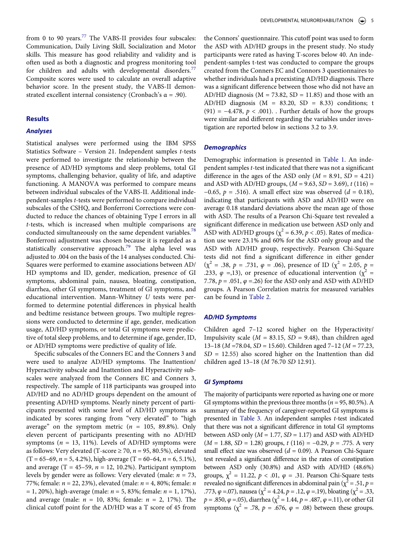<span id="page-6-0"></span>from 0 to 90 years.<sup>77</sup> The VABS-II provides four subscales: Communication, Daily Living Skill, Socialization and Motor skills. This measure has good reliability and validity and is often used as both a diagnostic and progress monitoring tool for children and adults with developmental disorders.<sup>[77](#page-13-9)</sup> Composite scores were used to calculate an overall adaptive behavior score. In the present study, the VABS-II demonstrated excellent internal consistency (Cronbach's  $\alpha$  = .90).

#### **Results**

#### *Analyses*

<span id="page-6-2"></span><span id="page-6-1"></span>Statistical analyses were performed using the IBM SPSS Statistics Software – Version 21. Independent samples *t*-tests were performed to investigate the relationship between the presence of AD/HD symptoms and sleep problems, total GI symptoms, challenging behavior, quality of life, and adaptive functioning. A MANOVA was performed to compare means between individual subscales of the VABS-II. Additional independent-samples *t*-tests were performed to compare individual subscales of the CSHQ, and Bonferroni Corrections were conducted to reduce the chances of obtaining Type I errors in all *t*-tests, which is increased when multiple comparisons are conducted simultaneously on the same dependent variables.<sup>[78](#page-13-10)</sup> Bonferroni adjustment was chosen because it is regarded as a statistically conservative approach.<sup>79</sup> The alpha level was adjusted to .004 on the basis of the 14 analyses conducted. Chi-Squares were performed to examine associations between AD/ HD symptoms and ID, gender, medication, presence of GI symptoms, abdominal pain, nausea, bloating, constipation, diarrhea, other GI symptoms, treatment of GI symptoms, and educational intervention. Mann-Whitney *U* tests were performed to determine potential differences in physical health and bedtime resistance between groups. Two multiple regressions were conducted to determine if age, gender, medication usage, AD/HD symptoms, or total GI symptoms were predictive of total sleep problems, and to determine if age, gender, ID, or AD/HD symptoms were predictive of quality of life.

Specific subscales of the Conners EC and the Conners 3 and were used to analyze AD/HD symptoms. The Inattention/ Hyperactivity subscale and Inattention and Hyperactivity subscales were analyzed from the Conners EC and Conners 3, respectively. The sample of 118 participants was grouped into AD/HD and no AD/HD groups dependent on the amount of presenting AD/HD symptoms. Nearly ninety percent of participants presented with some level of AD/HD symptoms as indicated by scores ranging from "very elevated" to "high average" on the symptom metric  $(n = 105, 89.8\%)$ . Only eleven percent of participants presenting with no AD/HD symptoms ( $n = 13$ , 11%). Levels of AD/HD symptoms were as follows: Very elevated (T-score  $\geq$  70,  $n = 95$ , 80.5%), elevated  $(T = 65-69, n = 5, 4.2\%)$ , high-average  $(T = 60-64, n = 6, 5.1\%)$ , and average  $(T = 45-59, n = 12, 10.2\%)$ . Participant symptom levels by gender were as follows: Very elevated (male: *n* = 73, 77%; female: *n* = 22, 23%), elevated (male: *n* = 4, 80%; female: *n*  = 1, 20%), high-average (male: *n* = 5, 83%; female: *n* = 1, 17%), and average (male: *n* = 10, 83%; female: *n* = 2, 17%). The clinical cutoff point for the AD/HD was a T score of 45 from

the Connors' questionnaire. This cutoff point was used to form the ASD with AD/HD groups in the present study. No study participants were rated as having T-scores below 40. An independent-samples t-test was conducted to compare the groups created from the Conners EC and Connors 3 questionnaires to whether individuals had a preexisting AD/HD diagnosis. There was a significant difference between those who did not have an AD/HD diagnosis ( $M = 73.82$ , SD = 11.85) and those with an AD/HD diagnosis ( $M = 83.20$ ,  $SD = 8.33$ ) conditions; t (91) = −4.478, *p* < .001). . Further details of how the groups were similar and different regarding the variables under investigation are reported below in sections 3.2 to 3.9.

#### *Demographics*

Demographic information is presented in [Table 1](#page-5-0). An independent samples *t*-test indicated that there was not a significant difference in the ages of the ASD only  $(M = 8.91, SD = 4.21)$ and ASD with AD/HD groups, (*M* = 9.63, *SD* = 3.69), *t* (116) = −0.65, *p* = .516). A small effect size was observed (*d* = 0.18), indicating that participants with ASD and AD/HD were on average 0.18 standard deviations above the mean age of those with ASD. The results of a Pearson Chi-Square test revealed a significant difference in medication use between ASD only and ASD with AD/HD groups ( $\chi^2$  = 6.39, *p* < .05). Rates of medication use were 23.1% and 60% for the ASD only group and the ASD with AD/HD group, respectively. Pearson Chi-Square tests did not find a significant difference in either gender  $(\chi^2 = .38, p = .731, \varphi = .06)$ , presence of ID  $(\chi^2 = 2.05, p =$ .233,  $\varphi$  =,13), or presence of educational intervention ( $\chi^2$  = 7.78, *p* = .051, *φ* =.26) for the ASD only and ASD with AD/HD groups. A Pearson Correlation matrix for measured variables can be found in [Table 2.](#page-7-0)

#### *AD/HD Symptoms*

Children aged 7–12 scored higher on the Hyperactivity/ Impulsivity scale (*M =* 83.15, *SD =* 9.48), than children aged 13–18 (*M* =78.04, *SD =* 15.60). Children aged 7–12 (*M =* 77.23, *SD =* 12.55) also scored higher on the Inattention than did children aged 13–18 (*M* 76.70 *SD* 12.91).

#### *GI Symptoms*

The majority of participants were reported as having one or more GI symptoms within the previous three months ( $n = 95, 80.5\%$ ). A summary of the frequency of caregiver-reported GI symptoms is presented in [Table 3](#page-7-1). An independent samples *t*-test indicated that there was not a significant difference in total GI symptoms between ASD only  $(M = 1.77, SD = 1.17)$  and ASD with AD/HD (*M* = 1.88, *SD* = 1.28) groups, *t* (116) = −0.29, *p* = .775. A very small effect size was observed (*d* = 0.09). A Pearson Chi-Square test revealed a significant difference in the rates of constipation between ASD only (30.8%) and ASD with AD/HD (48.6%) groups,  $\chi^2 = 11.22$ ,  $p < .01$ ,  $\varphi = .31$ . Pearson Chi-Square tests revealed no significant differences in abdominal pain ( $\chi^2$  = .51, *p* = .773,  $\varphi$  =.07), nausea ( $\chi^2$  = 4.24,  $p$  = .12,  $\varphi$  =.19), bloating ( $\chi^2$  = .33,  $p = .850, \varphi = .05$ ), diarrhea ( $\chi^2 = 1.44, p = .487, \varphi = .11$ ), or other GI symptoms ( $\chi^2$  = .78, *p* = .676, *φ* = .08) between these groups.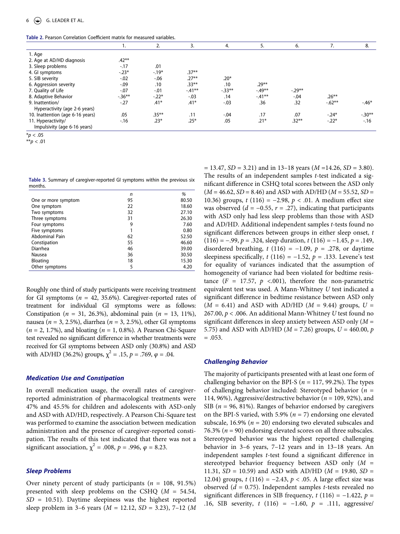<span id="page-7-0"></span>**Table 2.** Pearson Correlation Coefficient matrix for measured variables.

|                                  |           | 2.       | 3.        | 4.       | 5.       | 6.       | $\prime$ . | 8.       |
|----------------------------------|-----------|----------|-----------|----------|----------|----------|------------|----------|
| 1. Age                           |           |          |           |          |          |          |            |          |
| 2. Age at AD/HD diagnosis        | $.42**$   |          |           |          |          |          |            |          |
| 3. Sleep problems                | $-17$     | .01      |           |          |          |          |            |          |
| 4. Gl symptoms                   | $-.23*$   | $-.19*$  | $.37***$  |          |          |          |            |          |
| 5. SIB severity                  | $-.02$    | $-0.06$  | $.27***$  | $.20*$   |          |          |            |          |
| 6. Aggression severity           | $-0.09$   | .10      | $.33***$  | .10      | $.29***$ |          |            |          |
| 7. Quality of Life               | $-.07$    | $-.01$   | $-.41***$ | $-.33**$ | $-.49**$ | $-.29**$ |            |          |
| 8. Adaptive Behavior             | $-0.36**$ | $-.22*$  | $-.03$    | .14      | $-.41**$ | $-.04$   | $.26***$   |          |
| 9. Inattention/                  | $-27$     | $.41*$   | $.41*$    | $-.03$   | .36      | .32      | $-.62**$   | $-46*$   |
| Hyperactivity (age 2-6 years)    |           |          |           |          |          |          |            |          |
| 10. Inattention (age 6-16 years) | .05       | $.35***$ | .11       | $-.04$   | .17      | .07      | $-.24*$    | $-.30**$ |
| 11. Hyperactivity/               | $-16$     | $.23*$   | $.25*$    | .05      | $.21*$   | $.32**$  | $-.22*$    | $-16$    |
| Impulsivity (age 6-16 years)     |           |          |           |          |          |          |            |          |

<sup>\*</sup>*p* < .05

\*\**p* < .01

<span id="page-7-1"></span>**Table 3.** Summary of caregiver-reported GI symptoms within the previous six months.

|                       | n  | %     |
|-----------------------|----|-------|
| One or more symptom   | 95 | 80.50 |
| One symptom           | 22 | 18.60 |
| Two symptoms          | 32 | 27.10 |
| Three symptoms        | 31 | 26.30 |
| Four symptoms         | 9  | 7.60  |
| Five symptoms         | 1  | 0.80  |
| <b>Abdominal Pain</b> | 62 | 52.50 |
| Constipation          | 55 | 46.60 |
| Diarrhea              | 46 | 39.00 |
| Nausea                | 36 | 30.50 |
| Bloating              | 18 | 15.30 |
| Other symptoms        | 5  | 4.20  |

Roughly one third of study participants were receiving treatment for GI symptoms  $(n = 42, 35.6\%)$ . Caregiver-reported rates of treatment for individual GI symptoms were as follows: Constipation (*n* = 31, 26.3%), abdominal pain (*n* = 13, 11%), nausea (*n* = 3, 2.5%), diarrhea (*n* = 3, 2.5%), other GI symptoms (*n* = 2, 1.7%), and bloating (*n* = 1, 0.8%). A Pearson Chi-Square test revealed no significant difference in whether treatments were received for GI symptoms between ASD only (30.8%) and ASD with AD/HD (36.2%) groups,  $\chi^2 = .15$ ,  $p = .769$ ,  $\varphi = .04$ .

#### *Medication Use and Constipation*

In overall medication usage, the overall rates of caregiverreported administration of pharmacological treatments were 47% and 45.5% for children and adolescents with ASD-only and ASD with AD/HD, respectively. A Pearson Chi-Square test was performed to examine the association between medication administration and the presence of caregiver-reported constipation. The results of this test indicated that there was not a significant association,  $\chi^2$  = .008,  $p$  = .996,  $\varphi$  = 8.23.

# *Sleep Problems*

Over ninety percent of study participants (*n* = 108, 91.5%) presented with sleep problems on the CSHQ (*M* = 54.54, *SD* = 10.51). Daytime sleepiness was the highest reported sleep problem in 3–6 years (*M =* 12.12, *SD* = 3.23), 7–12 (*M*  *=* 13.47, *SD =* 3.21) and in 13–18 years (*M* =14.26, *SD =* 3.80). The results of an independent samples *t*-test indicated a significant difference in CSHQ total scores between the ASD only (*M* = 46.62, *SD* = 8.46) and ASD with AD/HD (*M* = 55.52, *SD* = 10.36) groups, *t* (116) = −2.98, *p* < .01. A medium effect size was observed  $(d = -0.55, r = .27)$ , indicating that participants with ASD only had less sleep problems than those with ASD and AD/HD. Additional independent samples *t*-tests found no significant differences between groups in either sleep onset, *t*  (116) = −.99, *p* = .324, sleep duration, *t* (116) = −1.45, *p* = .149, disordered breathing,  $t(116) = -1.09$ ,  $p = .278$ , or daytime sleepiness specifically,  $t(116) = -1.52$ ,  $p = .133$ . Levene's test for equality of variances indicated that the assumption of homogeneity of variance had been violated for bedtime resistance  $(F = 17.57, p \le 0.001)$ , therefore the non-parametric equivalent test was used. A Mann-Whitney *U* test indicated a significant difference in bedtime resistance between ASD only (*M* = 6.41) and ASD with AD/HD (*M* = 9.44) groups, *U* = 267.00, *p* < .006. An additional Mann-Whitney *U* test found no significant differences in sleep anxiety between ASD only (*M* = 5.75) and ASD with AD/HD (*M* = 7.26) groups, *U* = 460.00, *p*   $=.053.$ 

#### *Challenging Behavior*

The majority of participants presented with at least one form of challenging behavior on the BPI-S (*n* = 117, 99.2%). The types of challenging behavior included: Stereotyped behavior (*n* = 114, 96%), Aggressive/destructive behavior (*n* = 109, 92%), and SIB (*n* = 96, 81%). Ranges of behavior endorsed by caregivers on the BPI-S varied, with 5.9% (*n* = 7) endorsing one elevated subscale, 16.9%  $(n = 20)$  endorsing two elevated subscales and 76.3%  $(n = 90)$  endorsing elevated scores on all three subscales. Stereotyped behavior was the highest reported challenging behavior in 3–6 years, 7–12 years and in 13–18 years. An independent samples *t*-test found a significant difference in stereotyped behavior frequency between ASD only (*M* = 11.31, *SD* = 10.59) and ASD with AD/HD (*M* = 19.80, *SD* = 12.04) groups, *t* (116) = −2.43, *p* < .05. A large effect size was observed (*d* = 0.75). Independent samples *t*-tests revealed no significant differences in SIB frequency,  $t(116) = -1.422$ ,  $p =$ .16, SIB severity, *t* (116) = −1.60, *p* = .111, aggressive/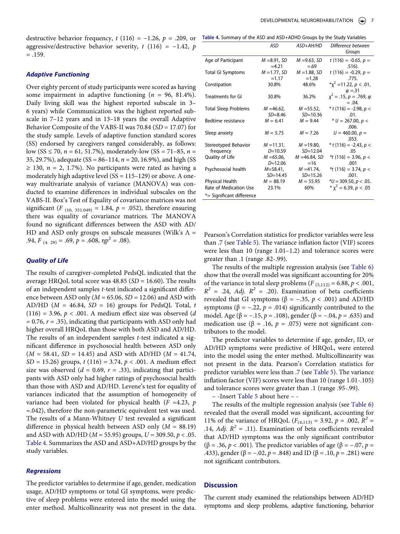destructive behavior frequency,  $t(116) = -1.26$ ,  $p = .209$ , or T aggressive/destructive behavior severity,  $t(116) = -1.42$ ,  $p($  $=.159.$ 

# *Adaptive Functioning*

Over eighty percent of study participants were scored as having some impairment in adaptive functioning (*n* = 96, 81.4%). Daily living skill was the highest reported subscale in 3– 6 years) while Communication was the highest reported subscale in 7–12 years and in 13–18 years the overall Adaptive Behavior Composite of the VABS-II was 70.84 (*SD* = 17.07) for the study sample. Levels of adaptive function standard scores (SS) endorsed by caregivers ranged considerably, as follows: low (SS ≤ 70, *n* = 61, 51.7%), moderately-low (SS = 71–85, *n* = 35, 29.7%), adequate (SS = 86–114, *n* = 20, 16.9%), and high (SS  $\geq$  130,  $n = 2$ , 1.7%). No participants were rated as having a moderately high adaptive level  $(SS = 115-129)$  or above. A oneway multivariate analysis of variance (MANOVA) was conducted to examine differences in individual subscales on the VABS-II. Box's Test of Equality of covariance matrices was not significant (*F*  $_{(10, 351.049)} = 1.84$ ,  $p = .052$ ), therefore ensuring there was equality of covariance matrices. The MANOVA found no significant differences between the ASD with AD/ HD and ASD only groups on subscale measures (Wilk's  $\Lambda$  = .94,  $F_{(4, 29)} = .69$ ,  $p = .608$ ,  $np^2 = .08$ ).

# *Quality of Life*

The results of caregiver-completed PedsQL indicated that the average HRQoL total score was 48.85 (*SD* = 16.60). The results of an independent samples *t*-test indicated a significant difference between ASD only (*M* = 65.06, *SD* = 12.06) and ASD with AD/HD ( $M = 46.84$ ,  $SD = 16$ ) groups for PedsQL Total, *t* (116) = 3.96, *p* < .001. A medium effect size was observed (*d*  = 0.76, *r* = .35), indicating that participants with ASD only had higher overall HRQoL than those with both ASD and AD/HD. The results of an independent samples *t*-test indicated a significant difference in psychosocial health between ASD only (*M* = 58.41, *SD* = 14.45) and ASD with AD/HD (*M* = 41.74, *SD* = 15.26) groups, *t* (116) = 3.74, *p* < .001. A medium effect size was observed  $(d = 0.69, r = .33)$ , indicating that participants with ASD only had higher ratings of psychosocial health than those with ASD and AD/HD. Levene's test for equality of variances indicated that the assumption of homogeneity of variance had been violated for physical health (*F* =4.23, *p*  =.042), therefore the non-parametric equivalent test was used. The results of a Mann-Whitney *U* test revealed a significant difference in physical health between ASD only (*M* = 88.19) and ASD with AD/HD (*M* = 55.95) groups, *U* = 309.50, *p* < .05. [Table 4](#page-8-0). Summarizes the ASD and ASD+AD/HD groups by the study variables.

#### *Regressions*

The predictor variables to determine if age, gender, medication usage, AD/HD symptoms or total GI symptoms, were predictive of sleep problems were entered into the model using the enter method. Multicollinearity was not present in the data.

<span id="page-8-0"></span>

| Table 4. Summary of the ASD and ASD+ADHD Groups by the Study Variables |  |  |
|------------------------------------------------------------------------|--|--|
|------------------------------------------------------------------------|--|--|

|                             | <b>ASD</b>       | ASD+AH/HD       | Difference between<br>Groups          |
|-----------------------------|------------------|-----------------|---------------------------------------|
|                             |                  |                 |                                       |
| Age of Participant          | $M = 8.91, SD$   | $M = 9.63, SD$  | t (116) = -0.65, $p =$                |
|                             | $=4.21$          | $=.69$          | $.516$ .                              |
|                             |                  |                 | t (116) = -0.29, $p =$                |
| <b>Total GI Symptoms</b>    | $M = 1.77$ , SD  | $M = 1.88, SD$  |                                       |
|                             | $=1.17$          | $=1.28$         | .775.                                 |
| Constipation                | 30.8%            | 48.6%           | $*_{\text{X}}^2$ = 11.22, $p < .01$ , |
|                             |                  |                 | $\varphi = 31$                        |
| <b>Treatments for GI</b>    | 30.8%            | 36.2%           | $x^2 = .15$ , $p = .769$ , $\varphi$  |
|                             |                  |                 | $=.04.$                               |
| <b>Total Sleep Problems</b> | M =46.62,        | $M = 55.52$ ,   | $*$ t (116) = -2.98, p <              |
|                             |                  |                 | .01.                                  |
|                             | $SD = 8.46$      | $SD = 10.36$    |                                       |
| Bedtime resistance          | $M = 6.41$       | $M = 9.44$      | $* U = 267.00, p <$                   |
|                             |                  |                 | .006.                                 |
| Sleep anxiety               | $M = 5.75$       | $M = 7.26$      | $U = 460.00, p =$                     |
|                             |                  |                 | .053.                                 |
| Stereotyped Behavior        | $M = 11.31$ ,    | $M = 19.80$ ,   | $*$ t (116) = -2.43, p <              |
| frequency                   | $D=10.59$        | $SD = 12.04$    | .05                                   |
|                             |                  |                 |                                       |
| Quality of Life             | $M = 65.06$ ,    | $M = 46.84, SD$ | $*t(116) = 3.96, p <$                 |
|                             | $D=12.06$        | $=16$           | .001                                  |
| Psychosocial health         | <i>M</i> =58.41, | $M = 41.74$ ,   | $*t(116) = 3.74, p <$                 |
|                             | $SD = 14.45$     | $SD = 15.26$    | .001.                                 |
| Physical Health             | $M = 88.19$      | $M = 55.95$     | $*U = 309.50, p < .05.$               |
| Rate of Medication Use      | 23.1%            | 60%             | * $x^2$ = 6.39, p < .05               |
|                             |                  |                 |                                       |
| *= Significant difference   |                  |                 |                                       |

Pearson's Correlation statistics for predictor variables were less than .7 (see [Table 5\)](#page-9-0). The variance inflation factor (VIF) scores were less than 10 (range 1.01–1.2) and tolerance scores were greater than .1 (range .82-.99).

The results of the multiple regression analysis (see [Table 6\)](#page-9-1) show that the overall model was significant accounting for 20% of the variance in total sleep problems  $(F_{(5,112)} = 6.88, p < .001,$  $R^2$  = .24, *Adj.*  $R^2$  = .20). Examination of beta coefficients revealed that GI symptoms ( $β = -.35, p < .001$ ) and AD/HD symptoms ( $β = -.22, p = .014$ ) significantly contributed to the model. Age (β = −.15, *p* = .108), gender (β = −.04, *p* = .635) and medication use  $(\beta = .16, p = .075)$  were not significant contributors to the model.

The predictor variables to determine if age, gender, ID, or AD/HD symptoms were predictive of HRQoL, were entered into the model using the enter method. Multicollinearity was not present in the data. Pearson's Correlation statistics for predictor variables were less than .7 (see [Table 5](#page-9-0)). The variance inflation factor (VIF) scores were less than 10 (range 1.01-.105) and tolerance scores were greater than .1 (range .95-.99).

– -Insert [Table 5](#page-9-0) about here – -

The results of the multiple regression analysis (see [Table 6\)](#page-9-1) revealed that the overall model was significant, accounting for 11% of the variance of HRQoL ( $F_{(4,113)} = 3.92$ ,  $p = .002$ ,  $R^2 =$ .14, *Adj.*  $R^2 = .11$ ). Examination of beta coefficients revealed that AD/HD symptoms was the only significant contributor (β = .36, *p* < .001). The predictor variables of age (β = −.07, *p* = .433), gender (β = −.02, *p* = .848) and ID (β = .10, *p* = .281) were not significant contributors.

# **Discussion**

The current study examined the relationships between AD/HD symptoms and sleep problems, adaptive functioning, behavior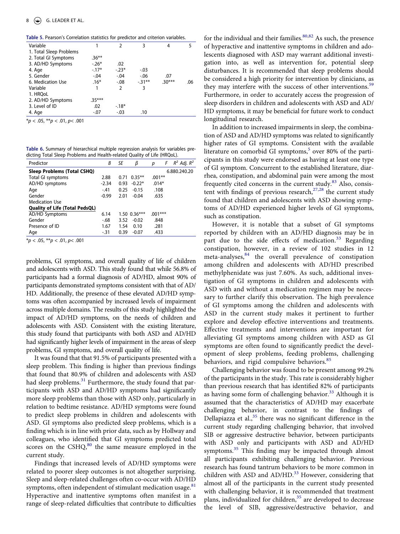<span id="page-9-0"></span>**Table 5.** Pearson's Correlation statistics for predictor and criterion variables.

| Variable                |          | $\mathcal{P}$ | 3       | 4        | 5   |
|-------------------------|----------|---------------|---------|----------|-----|
| 1. Total Sleep Problems |          |               |         |          |     |
| 2. Total GI Symptoms    | $.36***$ |               |         |          |     |
| 3. AD/HD Symptoms       | $-.26*$  | .02           |         |          |     |
| 4. Age                  | $-.17*$  | $-.23*$       | $-.03$  |          |     |
| 5. Gender               | $-.04$   | $-.04$        | $-0.06$ | .07      |     |
| 6. Medication Use       | $.16*$   | $-.08$        | $-31**$ | $.30***$ | .06 |
| Variable                |          | 2             | 3       |          |     |
| 1. HROoL                |          |               |         |          |     |
| 2. AD/HD Symptoms       | $.35***$ |               |         |          |     |
| 3. Level of ID          | .02      | $-18*$        |         |          |     |
| 4. Age                  | $-.07$   | $-.03$        | .10     |          |     |
|                         |          |               |         |          |     |

\**p* < .05, \*\**p* < .01, *p*< .001

<span id="page-9-1"></span>**Table 6.** Summary of hierarchical multiple regression analysis for variables predicting Total Sleep Problems and Health-related Quality of Life (HRQoL).

| Predictor                             | Β       | SE   | β                       | р         | $R^2$ Adj. $R^2$<br>F |
|---------------------------------------|---------|------|-------------------------|-----------|-----------------------|
| Sleep Problems (Total CSHQ)           |         |      |                         |           | 6.880.240.20          |
| Total GI symptoms                     | 2.88    | 0.71 | $0.35***$               | $.001**$  |                       |
| AD/HD symptoms                        | $-2.34$ | 0.93 | $-0.22*$                | $.014*$   |                       |
| Age                                   | $-41$   | 0.25 | $-0.15$                 | .108      |                       |
| Gender                                | $-0.99$ | 2.01 | $-0.04$                 | .635      |                       |
| <b>Medication Use</b>                 |         |      |                         |           |                       |
| <b>Quality of Life (Total PedsQL)</b> |         |      |                         |           |                       |
| AD/HD Symptoms                        | 6.14    |      | $1.50 \text{ } 0.36***$ | $.001***$ |                       |
| Gender                                | -.68    | 3.52 | $-0.02$                 | .848      |                       |
| Presence of ID                        | 1.67    | 1.54 | 0.10                    | .281      |                       |
| Age                                   | $-31$   | 0.39 | $-0.07$                 | .433      |                       |

\**p* < .05, \*\**p* < .01, *p*< .001

problems, GI symptoms, and overall quality of life of children and adolescents with ASD. This study found that while 56.8% of participants had a formal diagnosis of AD/HD, almost 90% of participants demonstrated symptoms consistent with that of AD/ HD. Additionally, the presence of these elevated AD/HD symptoms was often accompanied by increased levels of impairment across multiple domains. The results of this study highlighted the impact of AD/HD symptoms, on the needs of children and adolescents with ASD. Consistent with the existing literature, this study found that participants with both ASD and AD/HD had significantly higher levels of impairment in the areas of sleep problems, GI symptoms, and overall quality of life.

It was found that that 91.5% of participants presented with a sleep problem. This finding is higher than previous findings that found that 80.9% of children and adolescents with ASD had sleep problems.<sup>[31](#page-11-24)</sup> Furthermore, the study found that participants with ASD and AD/HD symptoms had significantly more sleep problems than those with ASD only, particularly in relation to bedtime resistance. AD/HD symptoms were found to predict sleep problems in children and adolescents with ASD. GI symptoms also predicted sleep problems, which is a finding which is in line with prior data, such as by Hollway and colleagues, who identified that GI symptoms predicted total scores on the CSHQ,<sup>80</sup> the same measure employed in the current study.

<span id="page-9-4"></span>Findings that increased levels of AD/HD symptoms were related to poorer sleep outcomes is not altogether surprising. Sleep and sleep-related challenges often co-occur with AD/HD symptoms, often independent of stimulant medication usage.<sup>[81](#page-13-13)</sup> Hyperactive and inattentive symptoms often manifest in a range of sleep-related difficulties that contribute to difficulties

<span id="page-9-3"></span>for the individual and their families.<sup>80[,82](#page-13-14)</sup> As such, the presence of hyperactive and inattentive symptoms in children and adolescents diagnosed with ASD may warrant additional investigation into, as well as intervention for, potential sleep disturbances. It is recommended that sleep problems should be considered a high priority for intervention by clinicians, as they may interfere with the success of other interventions.<sup>[59](#page-12-22)</sup> Furthermore, in order to accurately access the progression of sleep disorders in children and adolescents with ASD and AD/ HD symptoms, it may be beneficial for future work to conduct longitudinal research.

In addition to increased impairments in sleep, the combination of ASD and AD/HD symptoms was related to significantly higher rates of GI symptoms. Consistent with the available literature on comorbid GI symptoms, $5$  over 80% of the participants in this study were endorsed as having at least one type of GI symptom. Concurrent to the established literature, diarrhea, constipation, and abdominal pain were among the most frequently cited concerns in the current study. $83$  Also, consistent with findings of previous research, $27,28$  $27,28$  the current study found that children and adolescents with ASD showing symptoms of AD/HD experienced higher levels of GI symptoms, such as constipation.

<span id="page-9-6"></span><span id="page-9-5"></span><span id="page-9-2"></span>However, it is notable that a subset of GI symptoms reported by children with an AD/HD diagnosis may be in part due to the side effects of medication.<sup>33</sup> Regarding constipation, however, in a review of 102 studies in 12 meta-analyses,[84](#page-13-16) the overall prevalence of constipation among children and adolescents with AD/HD prescribed methylphenidate was just 7.60%. As such, additional investigation of GI symptoms in children and adolescents with ASD with and without a medication regimen may be necessary to further clarify this observation. The high prevalence of GI symptoms among the children and adolescents with ASD in the current study makes it pertinent to further explore and develop effective interventions and treatments. Effective treatments and interventions are important for alleviating GI symptoms among children with ASD as GI symptoms are often found to significantly predict the development of sleep problems, feeding problems, challenging behaviors, and rigid compulsive behaviors.<sup>[85](#page-13-17)</sup>

<span id="page-9-7"></span>Challenging behavior was found to be present among 99.2% of the participants in the study. This rate is considerably higher than previous research that has identified 82% of participants as having some form of challenging behavior.<sup>33</sup> Although it is assumed that the characteristics of AD/HD may exacerbate challenging behavior, in contrast to the findings of Dellapiazza et al., $35$  there was no significant difference in the current study regarding challenging behavior, that involved SIB or aggressive destructive behavior, between participants with ASD only and participants with ASD and AD/HD symptoms.<sup>35</sup> This finding may be impacted through almost all participants exhibiting challenging behavior. Previous research has found tantrum behaviors to be more common in children with ASD and AD/HD.<sup>33</sup> However, considering that almost all of the participants in the current study presented with challenging behavior, it is recommended that treatment plans, individualized for children, $35$  are developed to decrease the level of SIB, aggressive/destructive behavior, and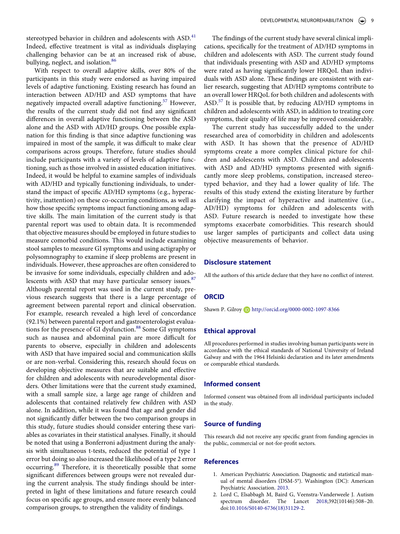<span id="page-10-2"></span>stereotyped behavior in children and adolescents with ASD.<sup>[41](#page-12-30)</sup> Indeed, effective treatment is vital as individuals displaying challenging behavior can be at an increased risk of abuse, bullying, neglect, and isolation.<sup>[86](#page-13-18)</sup>

<span id="page-10-3"></span>With respect to overall adaptive skills, over 80% of the participants in this study were endorsed as having impaired levels of adaptive functioning. Existing research has found an interaction between AD/HD and ASD symptoms that have negatively impacted overall adaptive functioning.<sup>57</sup> However, the results of the current study did not find any significant differences in overall adaptive functioning between the ASD alone and the ASD with AD/HD groups. One possible explanation for this finding is that since adaptive functioning was impaired in most of the sample, it was difficult to make clear comparisons across groups. Therefore, future studies should include participants with a variety of levels of adaptive functioning, such as those involved in assisted education initiatives. Indeed, it would be helpful to examine samples of individuals with AD/HD and typically functioning individuals, to understand the impact of specific AD/HD symptoms (e.g., hyperactivity, inattention) on these co-occurring conditions, as well as how those specific symptoms impact functioning among adaptive skills. The main limitation of the current study is that parental report was used to obtain data. It is recommended that objective measures should be employed in future studies to measure comorbid conditions. This would include examining stool samples to measure GI symptoms and using actigraphy or polysomnography to examine if sleep problems are present in individuals. However, these approaches are often considered to be invasive for some individuals, especially children and ado-lescents with ASD that may have particular sensory issues.<sup>[87](#page-13-19)</sup> Although parental report was used in the current study, previous research suggests that there is a large percentage of agreement between parental report and clinical observation. For example, research revealed a high level of concordance (92.1%) between parental report and gastroenterologist evalua-tions for the presence of GI dysfunction.<sup>[88](#page-13-20)</sup> Some GI symptoms such as nausea and abdominal pain are more difficult for parents to observe, especially in children and adolescents with ASD that have impaired social and communication skills or are non-verbal. Considering this, research should focus on developing objective measures that are suitable and effective for children and adolescents with neurodevelopmental disorders. Other limitations were that the current study examined, with a small sample size, a large age range of children and adolescents that contained relatively few children with ASD alone. In addition, while it was found that age and gender did not significantly differ between the two comparison groups in this study, future studies should consider entering these variables as covariates in their statistical analyses. Finally, it should be noted that using a Bonferroni adjustment during the analysis with simultaneous t-tests, reduced the potential of type 1 error but doing so also increased the likelihood of a type 2 error occurring[.89](#page-13-21) Therefore, it is theoretically possible that some significant differences between groups were not revealed during the current analysis. The study findings should be interpreted in light of these limitations and future research could focus on specific age groups, and ensure more evenly balanced comparison groups, to strengthen the validity of findings.

The findings of the current study have several clinical implications, specifically for the treatment of AD/HD symptoms in children and adolescents with ASD. The current study found that individuals presenting with ASD and AD/HD symptoms were rated as having significantly lower HRQoL than individuals with ASD alone. These findings are consistent with earlier research, suggesting that AD/HD symptoms contribute to an overall lower HRQoL for both children and adolescents with ASD.<sup>57</sup> It is possible that, by reducing AD/HD symptoms in children and adolescents with ASD, in addition to treating core symptoms, their quality of life may be improved considerably.

The current study has successfully added to the under researched area of comorbidity in children and adolescents with ASD. It has shown that the presence of AD/HD symptoms create a more complex clinical picture for children and adolescents with ASD. Children and adolescents with ASD and AD/HD symptoms presented with significantly more sleep problems, constipation, increased stereotyped behavior, and they had a lower quality of life. The results of this study extend the existing literature by further clarifying the impact of hyperactive and inattentive (i.e., AD/HD) symptoms for children and adolescents with ASD. Future research is needed to investigate how these symptoms exacerbate comorbidities. This research should use larger samples of participants and collect data using objective measurements of behavior.

#### **Disclosure statement**

<span id="page-10-4"></span>All the authors of this article declare that they have no conflict of interest.

# **ORCID**

Shawn P. Gilroy http://orcid.org/0000-0002-1097-8366

#### <span id="page-10-5"></span>**Ethical approval**

All procedures performed in studies involving human participants were in accordance with the ethical standards of National University of Ireland Galway and with the 1964 Helsinki declaration and its later amendments or comparable ethical standards.

#### **Informed consent**

Informed consent was obtained from all individual participants included in the study.

# **Source of funding**

This research did not receive any specific grant from funding agencies in the public, commercial or not-for-profit sectors.

#### <span id="page-10-6"></span>**References**

- <span id="page-10-1"></span>1. American Psychiatric Association. Diagnostic and statistical manual of mental disorders (DSM-5®). Washington (DC): American Psychiatric Association. [2013.](#page-2-2)
- <span id="page-10-0"></span>2. Lord C, Elsabbagh M, Baird G, Veenstra-Vanderweele J. Autism spectrum disorder. The Lancet [2018;](#page-2-3)392(10146):508–20. doi:[10.1016/S0140-6736\(18\)31129-2.](https://doi.org/10.1016/S0140-6736(18)31129-2)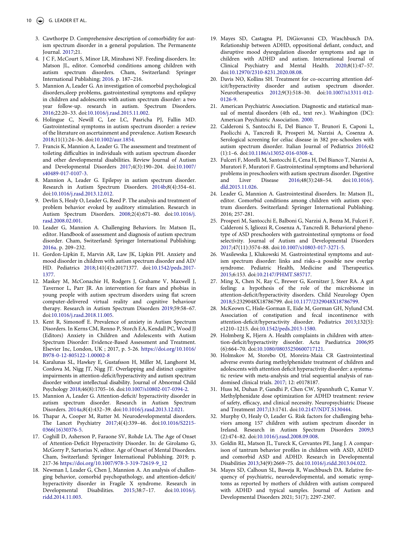- <span id="page-11-0"></span>3. Cawthorpe D. Comprehensive description of comorbidity for autism spectrum disorder in a general population. The Permanente Journal. [2017](#page-2-4);21.
- <span id="page-11-1"></span>4. J C F, McCourt S, Minor LR, Minshawi NF. Feeding disorders. In: Matson JL, editor. Comorbid conditions among children with autism spectrum disorders. Cham, Switzerland: Springer International Publishing; [2016](#page-2-5). p. 187–216.
- <span id="page-11-2"></span>5. Mannion A, Leader G. An investigation of comorbid psychological disorders,sleep problems, gastrointestinal symptoms and epilepsy in children and adolescents with autism spectrum disorder: a two year follow-up. research in autism. Spectrum Disorders. [2016;](#page-2-6)22:20–33. doi:[10.1016/j.rasd.2015.11.002](https://doi.org/10.1016/j.rasd.2015.11.002).
- <span id="page-11-3"></span>6. Holingue C, Newill C, Lee LC, Pasricha PJ, Fallin MD. Gastrointestinal symptoms in autism spectrum disorder: a review of the literature on ascertainment and prevalence. Autism Research [2018;](#page-2-7)11(1):24–36. doi:[10.1002/aur.1854.](https://doi.org/10.1002/aur.1854)
- <span id="page-11-4"></span>7. Francis K, Mannion A, Leader G. The assessment and treatment of toileting difficulties in individuals with autism spectrum disorder and other developmental disabilities. Review Journal of Autism and Developmental Disorders [2017;](#page-2-8)4(3):190–204. doi:[10.1007/](https://doi.org/10.1007/s40489-017-0107-3)  [s40489-017-0107-3.](https://doi.org/10.1007/s40489-017-0107-3)
- <span id="page-11-5"></span>8. Mannion A, Leader G. Epilepsy in autism spectrum disorder. Research in Autism Spectrum Disorders. [2014b](#page-2-8);8(4):354–61. doi:[10.1016/j.rasd.2013.12.012.](https://doi.org/10.1016/j.rasd.2013.12.012)
- <span id="page-11-6"></span>9. Devlin S, Healy O, Leader G, Reed P. The analysis and treatment of problem behavior evoked by auditory stimulation. Research in Autism Spectrum Disorders. [2008](#page-2-8);2(4):671–80. doi:[10.1016/j.](https://doi.org/10.1016/j.rasd.2008.02.001) [rasd.2008.02.001](https://doi.org/10.1016/j.rasd.2008.02.001).
- <span id="page-11-7"></span>10. Leader G, Mannion A. Challenging Behaviors. In: Matson JL, editor. Handbook of assessment and diagnosis of autism spectrum disorder. Cham, Switzerland: Springer International Publishing; [2016a](#page-2-8). p. 209–232.
- <span id="page-11-8"></span>11. Gordon-Lipkin E, Marvin AR, Law JK, Lipkin PH. Anxiety and mood disorder in children with autism spectrum disorder and AD/ HD. Pediatrics [2018](#page-2-9);141(4):e20171377. doi:[10.1542/peds.2017-](https://doi.org/10.1542/peds.2017-1377) [1377.](https://doi.org/10.1542/peds.2017-1377)
- <span id="page-11-9"></span>12. Maskey M, McConachie H, Rodgers J, Grahame V, Maxwell J, Tavernor L, Parr JR. An intervention for fears and phobias in young people with autism spectrum disorders using flat screen computer-delivered virtual reality and cognitive behaviour therapy. Research in Autism Spectrum Disorders [2019](#page-2-9);59:58–67. doi:[10.1016/j.rasd.2018.11.005.](https://doi.org/10.1016/j.rasd.2018.11.005)
- <span id="page-11-10"></span>13. Kent R, Simonoff E. Prevalence of anxiety in Autism Spectrum Disorders. In Kerns CM, Renno P, Storch EA, Kendall PC, Wood JJ (Editors) Anxiety in Children and Adolescents with Autism Spectrum Disorder: Evidence-Based Assessment and Treatment. Elsevier Inc, London, UK ; 2017, p. 5-26. [https://doi.org/10.1016/](https://doi.org/10.1016/B978-0-12-805122-1.00002-8) [B978-0-12-805122-1.00002-8](https://doi.org/10.1016/B978-0-12-805122-1.00002-8)
- <span id="page-11-11"></span>14. Karalunas SL, Hawkey E, Gustafsson H, Miller M, Langhorst M, Cordova M, Nigg JT, Nigg JT. Overlapping and distinct cognitive impairments in attention-deficit/hyperactivity and autism spectrum disorder without intellectual disability. Journal of Abnormal Child Psychology [2018](#page-2-10);46(8):1705–16. doi:[10.1007/s10802-017-0394-2](https://doi.org/10.1007/s10802-017-0394-2).
- <span id="page-11-12"></span>15. Mannion A, Leader G. Attention-deficit/ hyperactivity disorder in autism spectrum disorder. Research in Autism Spectrum Disorders. [2014a](#page-2-11);8(4):432–39. doi:[10.1016/j.rasd.2013.12.021.](https://doi.org/10.1016/j.rasd.2013.12.021)
- <span id="page-11-13"></span>16. Thapar A, Cooper M, Rutter M. Neurodevelopmental disorders. The Lancet Psychiatry [2017](#page-2-12);4(4):339–46. doi:[10.1016/S2215-](https://doi.org/10.1016/S2215-0366(16)30376-5)  [0366\(16\)30376-5](https://doi.org/10.1016/S2215-0366(16)30376-5).
- <span id="page-11-14"></span>17. Coghill D, Asherson P, Faraone SV, Rohde LA. The Age of Onset of Attention-Deficit Hyperactivity Disorder. In: de Girolamo G, McGorry P, Sartorius N, editor. Age of Onset of Mental Disorders. Cham, Switzerland: Springer International Publishing. 2019; p. 217-36 [https://doi.org/10.1007/978-3-319-72619-9\\_12](https://doi.org/10.1007/978-3-319-72619-9_12)
- <span id="page-11-15"></span>18. Newman I, Leader G, Chen J, Mannion A. An analysis of challenging behavior, comorbid psychopathology, and attention-deficit/ hyperactivity disorder in Fragile X syndrome. Research in Developmental Disabilities. [2015;](#page-2-13)38:7–17. doi:[10.1016/j.](https://doi.org/10.1016/j.ridd.2014.11.003) [ridd.2014.11.003](https://doi.org/10.1016/j.ridd.2014.11.003).
- <span id="page-11-16"></span>19. Mayes SD, Castagna PJ, DiGiovanni CD, Waschbusch DA. Relationship between ADHD, oppositional defiant, conduct, and disruptive mood dysregulation disorder symptoms and age in children with ADHD and autism. International Journal of Clinical Psychiatry and Mental Health. [2020](#page-2-14);8(1):47–57. doi:[10.12970/2310-8231.2020.08.08.](https://doi.org/10.12970/2310-8231.2020.08.08)
- <span id="page-11-17"></span>20. Davis NO, Kollins SH. Treatment for co-occurring attention deficit/hyperactivity disorder and autism spectrum disorder. Neurotherapeutics [2012;](#page-2-14)9(3):518–30. doi:[10.1007/s13311-012-](https://doi.org/10.1007/s13311-012-0126-9) [0126-9.](https://doi.org/10.1007/s13311-012-0126-9)
- <span id="page-11-18"></span>21. American Psychiatric Association. Diagnostic and statistical manual of mental disorders (4th ed., text rev.). Washington (DC): American Psychiatric Association. [2000](#page-2-15).
- <span id="page-11-19"></span>22. Calderoni S, Santocchi E, Del Bianco T, Brunori E, Caponi L, Paolicchi A, Tancredi R, Prosperi M, Narzisi A, Cosenza A. Serological screening for celiac disease in 382 pre-schoolers with autism spectrum disorder. Italian Journal of Pediatrics [2016;](#page-2-16)42 (1):1–6. doi:[10.1186/s13052-016-0308-x.](https://doi.org/10.1186/s13052-016-0308-x)
- 23. Fulceri F, Morelli M, Santocchi E, Cena H, Del Bianco T, Narzisi A, Muratori F, Muratori F. Gastrointestinal symptoms and behavioral problems in preschoolers with autism spectrum disorder. Digestive and Liver Disease 2016;48(3):248–54. doi:[10.1016/j.](https://doi.org/10.1016/j.dld.2015.11.026) [dld.2015.11.026](https://doi.org/10.1016/j.dld.2015.11.026).
- 24. Leader G, Mannion A. Gastrointestinal disorders. In: Matson JL, editor. Comorbid conditions among children with autism spectrum disorders. Switzerland: Springer International Publishing. 2016; 257-281.
- <span id="page-11-20"></span>25. Prosperi M, Santocchi E, Balboni G, Narzisi A, Bozza M, Fulceri F, Calderoni S, Igliozzi R, Cosenza A, Tancredi R. Behavioral phenotype of ASD preschoolers with gastrointestinal symptoms or food selectivity. Journal of Autism and Developmental Disorders [2017;](#page-2-17)47(11):3574–88. doi:[10.1007/s10803-017-3271-5.](https://doi.org/10.1007/s10803-017-3271-5)
- <span id="page-11-21"></span>26. Wasilewska J, Klukowski M. Gastrointestinal symptoms and autism spectrum disorder: links and risks–a possible new overlap syndrome. Pediatric Health, Medicine and Therapeutics. [2015;](#page-2-18)6:153. doi:[10.2147/PHMT.S85717.](https://doi.org/10.2147/PHMT.S85717)
- <span id="page-11-22"></span>27. Ming X, Chen N, Ray C, Brewer G, Kornitzer J, Steer RA. A gut feeling: a hypothesis of the role of the microbiome in attention-deficit/hyperactivity disorders. Child Neurology Open [2018;](#page-3-0)5:2329048X18786799. doi:[10.1177/2329048X18786799.](https://doi.org/10.1177/2329048X18786799)
- <span id="page-11-29"></span>28. McKeown C, Hisle-Gorman E, Eide M, Gorman GH, Nylund CM. Association of constipation and fecal incontinence with attention-deficit/hyperactivity disorder. Pediatrics [2013;](#page-9-2)132(5): e1210–1215. doi:[10.1542/peds.2013-1580.](https://doi.org/10.1542/peds.2013-1580)
- <span id="page-11-26"></span>29. Holmberg K, Hjern A. Health complaints in children with attention-deficit/hyperactivity disorder. Acta Paediatrica [2006;](#page-3-1)95 (6):664–70. doi:[10.1080/08035250600717121](https://doi.org/10.1080/08035250600717121).
- <span id="page-11-23"></span>30. Holmskov M, Storebo OJ, Moreira-Maia CR Gastrointestinal adverse events during methylphenidate treatment of children and adolescents with attention deficit hyperactivity disorder: a systematic review with meta-analysis and trial sequential analysis of randomised clinical trials. [2017;](#page-3-2) 12: e0178187.
- <span id="page-11-24"></span>31. Huss M, Duhan P, Gandhi P, Chen CW, Spannhuth C, Kumar V. Methylphenidate dose optimization for ADHD treatment: review of safety, efficacy, and clinical necessity. Neuropsychiatric Disease and Treatment [2017;](#page-3-2)13:1741. doi:[10.2147/NDT.S130444.](https://doi.org/10.2147/NDT.S130444)
- <span id="page-11-25"></span>32. Murphy O, Healy O, Leader G. Risk factors for challenging behaviors among 157 children with autism spectrum disorder in Ireland. Research in Autism Spectrum Disorders [2009](#page-3-3);3 (2):474–82. doi:[10.1016/j.rasd.2008.09.008.](https://doi.org/10.1016/j.rasd.2008.09.008)
- <span id="page-11-27"></span>33. Goldin RL, Matson JL, Tureck K, Cervantes PE, Jang J. A comparison of tantrum behavior profiles in children with ASD, ADHD and comorbid ASD and ADHD. Research in Developmental Disabilities [2013](#page-3-4);34(9):2669–75. doi:[10.1016/j.ridd.2013.04.022.](https://doi.org/10.1016/j.ridd.2013.04.022)
- <span id="page-11-28"></span>34. Mayes SD, Calhoun SL, Baweja R, Waschbusch DA. Relative frequency of psychiatric, neurodevelopmental, and somatic symptoms as reported by mothers of children with autism compared with ADHD and typical samples. Journal of Autism and Developmental Disorders 2021; 51(7); 2297-2307.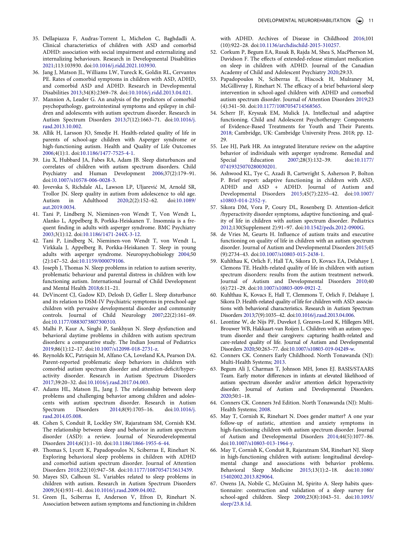- <span id="page-12-0"></span>35. Dellapiazza F, Audras-Torrent L, Michelon C, Baghdadli A. Clinical characteristics of children with ASD and comorbid ADHD: association with social impairment and externalizing and internalizing behaviours. Research in Developmental Disabilities [2021;](#page-3-5)113:103930. doi:[10.1016/j.ridd.2021.103930](https://doi.org/10.1016/j.ridd.2021.103930).
- <span id="page-12-1"></span>36. Jang J, Matson JL, Williams LW, Tureck K, Goldin RL, Cervantes PE. Rates of comorbid symptoms in children with ASD, ADHD, and comorbid ASD and ADHD. Research in Developmental Disabilities [2013](#page-3-6);34(8):2369–78. doi:[10.1016/j.ridd.2013.04.021.](https://doi.org/10.1016/j.ridd.2013.04.021)
- <span id="page-12-2"></span>37. Mannion A, Leader G. An analysis of the predictors of comorbid psychopathology, gastrointestinal symptoms and epilepsy in children and adolescents with autism spectrum disorder. Research in Autism Spectrum Disorders [2013;](#page-3-7)7(12):1663–71. doi:[10.1016/j.](https://doi.org/10.1016/j.rasd.2013.10.002) [rasd.2013.10.002](https://doi.org/10.1016/j.rasd.2013.10.002).
- <span id="page-12-3"></span>38. Allik H, Larsson JO, Smedje H. Health-related quality of life in parents of school-age children with Asperger syndrome or high-functioning autism. Health and Quality of Life Outcomes [2006;](#page-3-8)4(1):1. doi:[10.1186/1477-7525-4-1](https://doi.org/10.1186/1477-7525-4-1).
- <span id="page-12-4"></span>39. Liu X, Hubbard JA, Fabes RA, Adam JB. Sleep disturbances and correlates of children with autism spectrum disorders. Child Psychiatry and Human Development [2006](#page-3-8);37(2):179–91. doi:[10.1007/s10578-006-0028-3.](https://doi.org/10.1007/s10578-006-0028-3)
- <span id="page-12-5"></span>40. Jovevska S, Richdale AL, Lawson LP, Uljarević M, Arnold SR, Trollor JN. Sleep quality in autism from adolescence to old age. Autism in Adulthood [2020](#page-3-9);2(2):152–62. doi:[10.1089/](https://doi.org/10.1089/aut.2019.0034)  [aut.2019.0034.](https://doi.org/10.1089/aut.2019.0034)
- <span id="page-12-30"></span>41. Tani P, Lindberg N, Nieminen-von Wendt T, Von Wendt L, Alanko L, Appelberg B, Porkka-Heiskanen T. Insomnia is a frequent finding in adults with asperger syndrome. BMC Psychiatry [2003;](#page-10-2)3(1):12. doi:[10.1186/1471-244X-3-12.](https://doi.org/10.1186/1471-244X-3-12)
- 42. Tani P, Lindberg N, Nieminen-von Wendt T, von Wendt L, Virkkala J, Appelberg B, Porkka-Heiskanen T. Sleep in young adults with asperger syndrome. Neuropsychobiology 2004;50 (2):147–52. doi:[10.1159/000079106](https://doi.org/10.1159/000079106).
- <span id="page-12-6"></span>43. Joseph J, Thomas N. Sleep problems in relation to autism severity, problematic behaviour and parental distress in children with low functioning autism. International Journal of Child Development and Mental Health [2018](#page-3-10);6:11–21.
- <span id="page-12-7"></span>44. DeVincent CJ, Gadow KD, Delosh D, Geller L. Sleep disturbance and its relation to DSM-IV Psychiatric symptoms in preschool-age children with pervasive developmental disorder and community controls. Journal of Child Neurology [2007](#page-3-11);22(2):161–69. doi:[10.1177/0883073807300310.](https://doi.org/10.1177/0883073807300310)
- <span id="page-12-8"></span>45. Malhi P, Kaur A, Singhi P, Sankhyan N. Sleep dysfunction and behavioral daytime problems in children with autism spectrum disorders: a comparative study. The Indian Journal of Pediatrics [2019;](#page-3-11)86(1):12–17. doi:[10.1007/s12098-018-2731-z.](https://doi.org/10.1007/s12098-018-2731-z)
- <span id="page-12-9"></span>46. Reynolds KC, Patriquin M, Alfano CA, Loveland KA, Pearson DA. Parent-reported problematic sleep behaviors in children with comorbid autism spectrum disorder and attention-deficit/hyperactivity disorder. Research in Autism Spectrum Disorders [2017;](#page-3-12)39:20–32. doi:[10.1016/j.rasd.2017.04.003](https://doi.org/10.1016/j.rasd.2017.04.003).
- <span id="page-12-10"></span>47. Adams HL, Matson JL, Jang J. The relationship between sleep problems and challenging behavior among children and adolescents with autism spectrum disorder. Research in Autism Spectrum Disorders [2014](#page-3-13);8(9):1705–16. doi:[10.1016/j.](https://doi.org/10.1016/j.rasd.2014.05.008) [rasd.2014.05.008](https://doi.org/10.1016/j.rasd.2014.05.008).
- <span id="page-12-11"></span>48. Cohen S, Conduit R, Lockley SW, Rajaratnam SM, Cornish KM. The relationship between sleep and behavior in autism spectrum disorder (ASD): a review. Journal of Neurodevelopmental Disorders [2014;](#page-3-14)6(1):1–10. doi:[10.1186/1866-1955-6-44.](https://doi.org/10.1186/1866-1955-6-44)
- <span id="page-12-12"></span>49. Thomas S, Lycett K, Papadopoulos N, Sciberras E, Rinehart N. Exploring behavioral sleep problems in children with ADHD and comorbid autism spectrum disorder. Journal of Attention Disorders [2018;](#page-3-15)22(10):947–58. doi:[10.1177/1087054715613439.](https://doi.org/10.1177/1087054715613439)
- <span id="page-12-13"></span>50. Mayes SD, Calhoun SL. Variables related to sleep problems in children with autism. Research in Autism Spectrum Disorders [2009;](#page-3-16)3(4):931–41. doi:[10.1016/j.rasd.2009.04.002](https://doi.org/10.1016/j.rasd.2009.04.002).
- <span id="page-12-14"></span>51. Green JL, Sciberras E, Anderson V, Efron D, Rinehart N. Association between autism symptoms and functioning in children

with ADHD. Archives of Disease in Childhood [2016;](#page-3-15)101 (10):922–28. doi:[10.1136/archdischild-2015-310257.](https://doi.org/10.1136/archdischild-2015-310257)

- <span id="page-12-15"></span>52. Corkum P, Begum EA, Rusak B, Rajda M, Shea S, MacPherson M, Davidson F. The effects of extended-release stimulant medication on sleep in children with ADHD. Journal of the Canadian Academy of Child and Adolescent Psychiatry [2020;](#page-3-17)29:33.
- <span id="page-12-16"></span>53. Papadopoulos N, Sciberras E, Hiscock H, Mulraney M, McGillivray J, Rinehart N. The efficacy of a brief behavioral sleep intervention in school-aged children with ADHD and comorbid autism spectrum disorder. Journal of Attention Disorders [2019;](#page-3-18)23 (4):341–50. doi:[10.1177/1087054714568565.](https://doi.org/10.1177/1087054714568565)
- <span id="page-12-17"></span>54. Scherr JF, Kryszak EM, Mulick JA. Intellectual and adaptive functioning. Child and Adolescent Psychotherapy: Components of Evidence-Based Treatments for Youth and Their Parents. [2018;](#page-3-19) Cambridge, UK: Cambridge University Press. 2018; pp. 12- 29.
- <span id="page-12-18"></span>55. Lee HJ, Park HR. An integrated literature review on the adaptive behavior of individuals with asperger syndrome. Remedial and Special Education [2007;](#page-3-20)28(3):132–39. doi:[10.1177/](https://doi.org/10.1177/07419325070280030201)  [07419325070280030201.](https://doi.org/10.1177/07419325070280030201)
- <span id="page-12-19"></span>56. Ashwood KL, Tye C, Azadi B, Cartwright S, Asherson P, Bolton P. Brief report: adaptive functioning in children with ASD, ADHD and ASD + ADHD. Journal of Autism and Developmental Disorders [2015;](#page-3-21)45(7):2235–42. doi:[10.1007/](https://doi.org/10.1007/s10803-014-2352-y) [s10803-014-2352-y.](https://doi.org/10.1007/s10803-014-2352-y)
- <span id="page-12-20"></span>57. Sikora DM, Vora P, Coury DL, Rosenberg D. Attention-deficit /hyperactivity disorder symptoms, adaptive functioning, and quality of life in children with autism spectrum disorder. Pediatrics [2012;](#page-3-22)130(Supplement 2):91–97. doi:[10.1542/peds.2012-0900G.](https://doi.org/10.1542/peds.2012-0900G)
- <span id="page-12-21"></span>58. de Vries M, Geurts H. Influence of autism traits and executive functioning on quality of life in children with an autism spectrum disorder. Journal of Autism and Developmental Disorders [2015;](#page-4-0)45 (9):2734–43. doi:[10.1007/s10803-015-2438-1](https://doi.org/10.1007/s10803-015-2438-1).
- <span id="page-12-22"></span>59. Kuhlthau K, Orlich F, Hall TA, Sikora D, Kovacs EA, Delahaye J, Clemons TE. Health-related quality of life in children with autism spectrum disorders: results from the autism treatment network. Journal of Autism and Developmental Disorders [2010;](#page-4-1)40 (6):721–29. doi:[10.1007/s10803-009-0921-2.](https://doi.org/10.1007/s10803-009-0921-2)
- <span id="page-12-23"></span>60. Kuhlthau K, Kovacs E, Hall T, Clemmons T, Orlich F, Delahaye J, Sikora D. Health-related quality of life for children with ASD: associations with behavioral characteristics. Research in Autism Spectrum Disorders [2013;](#page-4-1)7(9):1035–42. doi:[10.1016/j.rasd.2013.04.006](https://doi.org/10.1016/j.rasd.2013.04.006).
- 61. Leontine W, de Nijs PF, Duvekot J, Greaves-Lord K, Hillegers MH, Brouwer WB, Hakkaart-van Roijen L. Children with an autism spectrum disorder and their caregivers: capturing health-related and care-related quality of life. Journal of Autism and Developmental Disorders 2020;50:263–77. doi:[10.1007/s10803-019-04249-w.](https://doi.org/10.1007/s10803-019-04249-w)
- <span id="page-12-24"></span>62. Conners CK. Conners Early Childhood. North Tonawanda (NJ): Multi-Health Systems; [2013](#page-4-2).
- <span id="page-12-25"></span>63. Begum Ali J, Charman T, Johnson MH, Jones EJ. BASIS/STAARS Team. Early motor differences in infants at elevated likelihood of autism spectrum disorder and/or attention deficit hyperactivity disorder. Journal of Autism and Developmental Disorders. [2020](#page-4-3);50:1–18.
- <span id="page-12-26"></span>64. Conners CK. Conners 3rd Edition. North Tonawanda (NJ): Multi-Health Systems; [2008.](#page-5-1)
- <span id="page-12-27"></span>65. May T, Cornish K, Rinehart N. Does gender matter? A one year follow-up of autistic, attention and anxiety symptoms in high-functioning children with autism spectrum disorder. Journal of Autism and Developmental Disorders [2014](#page-5-2);44(5):1077–86. doi:[10.1007/s10803-013-1964-y.](https://doi.org/10.1007/s10803-013-1964-y)
- <span id="page-12-28"></span>66. May T, Cornish K, Conduit R, Rajaratnam SM, Rinehart NJ. Sleep in high-functioning children with autism: longitudinal developmental change and associations with behavior problems. Behavioral Sleep Medicine [2015;](#page-5-2)13(1):2–18. doi:[10.1080/](https://doi.org/10.1080/15402002.2013.829064)  [15402002.2013.829064.](https://doi.org/10.1080/15402002.2013.829064)
- <span id="page-12-29"></span>67. Owens JA, Nobile C, McGuinn M, Spirito A. Sleep habits questionnaire: construction and validation of a sleep survey for school-aged children. Sleep [2000](#page-5-3);23(8):1043–51. doi:[10.1093/](https://doi.org/10.1093/sleep/23.8.1d)  [sleep/23.8.1d.](https://doi.org/10.1093/sleep/23.8.1d)